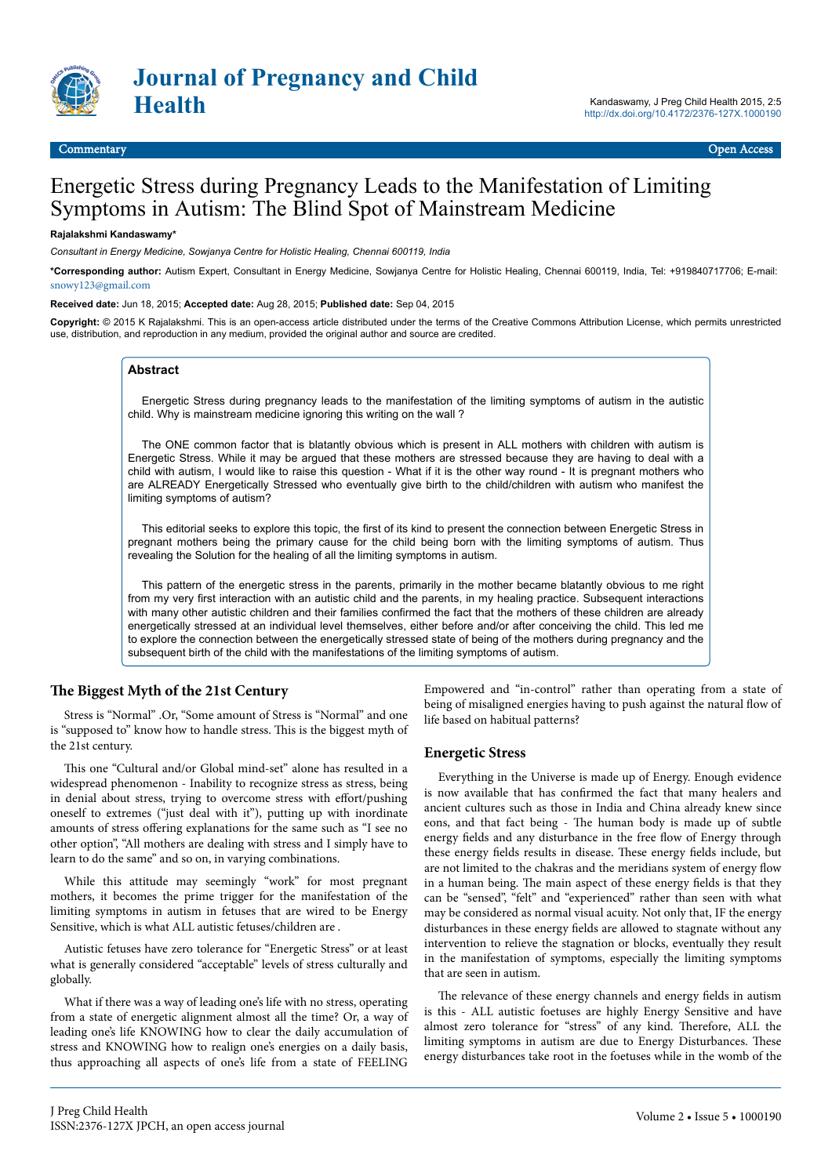

#### Commentary Open Access

# Energetic Stress during Pregnancy Leads to the Manifestation of Limiting Symptoms in Autism: The Blind Spot of Mainstream Medicine

#### **Rajalakshmi Kandaswamy\***

*Consultant in Energy Medicine, Sowjanya Centre for Holistic Healing, Chennai 600119, India*

**\*Corresponding author:** Autism Expert, Consultant in Energy Medicine, Sowjanya Centre for Holistic Healing, Chennai 600119, India, Tel: +919840717706; E-mail: [snowy123@gmail.com](mailto:snowy123@gmail.com)

#### **Received date:** Jun 18, 2015; **Accepted date:** Aug 28, 2015; **Published date:** Sep 04, 2015

**Copyright:** © 2015 K Rajalakshmi. This is an open-access article distributed under the terms of the Creative Commons Attribution License, which permits unrestricted use, distribution, and reproduction in any medium, provided the original author and source are credited.

#### **Abstract**

Energetic Stress during pregnancy leads to the manifestation of the limiting symptoms of autism in the autistic child. Why is mainstream medicine ignoring this writing on the wall ?

The ONE common factor that is blatantly obvious which is present in ALL mothers with children with autism is Energetic Stress. While it may be argued that these mothers are stressed because they are having to deal with a child with autism, I would like to raise this question - What if it is the other way round - It is pregnant mothers who are ALREADY Energetically Stressed who eventually give birth to the child/children with autism who manifest the limiting symptoms of autism?

This editorial seeks to explore this topic, the first of its kind to present the connection between Energetic Stress in pregnant mothers being the primary cause for the child being born with the limiting symptoms of autism. Thus revealing the Solution for the healing of all the limiting symptoms in autism.

This pattern of the energetic stress in the parents, primarily in the mother became blatantly obvious to me right from my very first interaction with an autistic child and the parents, in my healing practice. Subsequent interactions with many other autistic children and their families confirmed the fact that the mothers of these children are already energetically stressed at an individual level themselves, either before and/or after conceiving the child. This led me to explore the connection between the energetically stressed state of being of the mothers during pregnancy and the subsequent birth of the child with the manifestations of the limiting symptoms of autism.

## **The Biggest Myth of the 21st Century**

Stress is "Normal" .Or, "Some amount of Stress is "Normal" and one is "supposed to" know how to handle stress. Нis is the biggest myth of the 21st century.

This one "Cultural and/or Global mind-set" alone has resulted in a widespread phenomenon - Inability to recognize stress as stress, being in denial about stress, trying to overcome stress with effort/pushing oneself to extremes ("just deal with it"), putting up with inordinate amounts of stress offering explanations for the same such as "I see no other option", "All mothers are dealing with stress and I simply have to learn to do the same" and so on, in varying combinations.

While this attitude may seemingly "work" for most pregnant mothers, it becomes the prime trigger for the manifestation of the limiting symptoms in autism in fetuses that are wired to be Energy Sensitive, which is what ALL autistic fetuses/children are .

Autistic fetuses have zero tolerance for "Energetic Stress" or at least what is generally considered "acceptable" levels of stress culturally and globally.

What if there was a way of leading one's life with no stress, operating from a state of energetic alignment almost all the time? Or, a way of leading one's life KNOWING how to clear the daily accumulation of stress and KNOWING how to realign one's energies on a daily basis, thus approaching all aspects of one's life from a state of FEELING

Empowered and "in-control" rather than operating from a state of being of misaligned energies having to push against the natural flow of life based on habitual patterns?

#### **Energetic Stress**

Everything in the Universe is made up of Energy. Enough evidence is now available that has confirmed the fact that many healers and ancient cultures such as those in India and China already knew since eons, and that fact being - Нe human body is made up of subtle energy fields and any disturbance in the free flow of Energy through these energy fields results in disease. Нese energy fields include, but are not limited to the chakras and the meridians system of energy flow in a human being. Нe main aspect of these energy fields is that they can be "sensed", "felt" and "experienced" rather than seen with what may be considered as normal visual acuity. Not only that, IF the energy disturbances in these energy fields are allowed to stagnate without any intervention to relieve the stagnation or blocks, eventually they result in the manifestation of symptoms, especially the limiting symptoms that are seen in autism.

The relevance of these energy channels and energy fields in autism is this - ALL autistic foetuses are highly Energy Sensitive and have almost zero tolerance for "stress" of any kind. Therefore, ALL the limiting symptoms in autism are due to Energy Disturbances. Нese energy disturbances take root in the foetuses while in the womb of the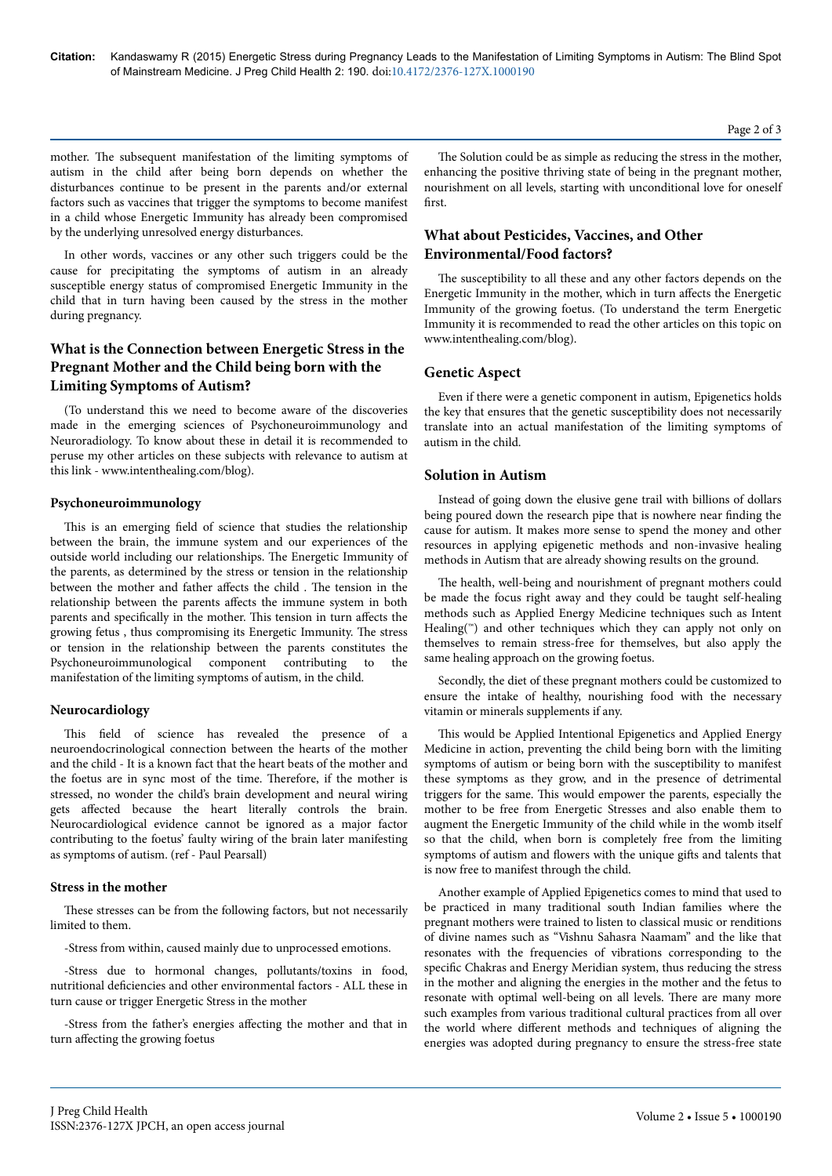mother. Нe subsequent manifestation of the limiting symptoms of autism in the child after being born depends on whether the disturbances continue to be present in the parents and/or external factors such as vaccines that trigger the symptoms to become manifest in a child whose Energetic Immunity has already been compromised by the underlying unresolved energy disturbances.

In other words, vaccines or any other such triggers could be the cause for precipitating the symptoms of autism in an already susceptible energy status of compromised Energetic Immunity in the child that in turn having been caused by the stress in the mother during pregnancy.

# **What is the Connection between Energetic Stress in the Pregnant Mother and the Child being born with the Limiting Symptoms of Autism?**

(To understand this we need to become aware of the discoveries made in the emerging sciences of Psychoneuroimmunology and Neuroradiology. To know about these in detail it is recommended to peruse my other articles on these subjects with relevance to autism at this link - www.intenthealing.com/blog).

## **Psychoneuroimmunology**

This is an emerging field of science that studies the relationship between the brain, the immune system and our experiences of the outside world including our relationships. Нe Energetic Immunity of the parents, as determined by the stress or tension in the relationship between the mother and father affects the child . The tension in the relationship between the parents affects the immune system in both parents and specifically in the mother. This tension in turn affects the growing fetus , thus compromising its Energetic Immunity. Нe stress or tension in the relationship between the parents constitutes the Psychoneuroimmunological component contributing to the manifestation of the limiting symptoms of autism, in the child.

#### **Neurocardiology**

This field of science has revealed the presence of a neuroendocrinological connection between the hearts of the mother and the child - It is a known fact that the heart beats of the mother and the foetus are in sync most of the time. Therefore, if the mother is stressed, no wonder the child's brain development and neural wiring gets affected because the heart literally controls the brain. Neurocardiological evidence cannot be ignored as a major factor contributing to the foetus' faulty wiring of the brain later manifesting as symptoms of autism. (ref - Paul Pearsall)

#### **Stress in the mother**

These stresses can be from the following factors, but not necessarily limited to them.

-Stress from within, caused mainly due to unprocessed emotions.

-Stress due to hormonal changes, pollutants/toxins in food, nutritional deficiencies and other environmental factors - ALL these in turn cause or trigger Energetic Stress in the mother

-Stress from the father's energies affecting the mother and that in turn affecting the growing foetus

The Solution could be as simple as reducing the stress in the mother, enhancing the positive thriving state of being in the pregnant mother, nourishment on all levels, starting with unconditional love for oneself first.

## **What about Pesticides, Vaccines, and Other Environmental/Food factors?**

The susceptibility to all these and any other factors depends on the Energetic Immunity in the mother, which in turn affects the Energetic Immunity of the growing foetus. (To understand the term Energetic Immunity it is recommended to read the other articles on this topic on www.intenthealing.com/blog).

## **Genetic Aspect**

Even if there were a genetic component in autism, Epigenetics holds the key that ensures that the genetic susceptibility does not necessarily translate into an actual manifestation of the limiting symptoms of autism in the child.

## **Solution in Autism**

Instead of going down the elusive gene trail with billions of dollars being poured down the research pipe that is nowhere near finding the cause for autism. It makes more sense to spend the money and other resources in applying epigenetic methods and non-invasive healing methods in Autism that are already showing results on the ground.

The health, well-being and nourishment of pregnant mothers could be made the focus right away and they could be taught self-healing methods such as Applied Energy Medicine techniques such as Intent Healing( $^{\mathsf{m}}$ ) and other techniques which they can apply not only on themselves to remain stress-free for themselves, but also apply the same healing approach on the growing foetus.

Secondly, the diet of these pregnant mothers could be customized to ensure the intake of healthy, nourishing food with the necessary vitamin or minerals supplements if any.

This would be Applied Intentional Epigenetics and Applied Energy Medicine in action, preventing the child being born with the limiting symptoms of autism or being born with the susceptibility to manifest these symptoms as they grow, and in the presence of detrimental triggers for the same. Нis would empower the parents, especially the mother to be free from Energetic Stresses and also enable them to augment the Energetic Immunity of the child while in the womb itself so that the child, when born is completely free from the limiting symptoms of autism and flowers with the unique gifts and talents that is now free to manifest through the child.

Another example of Applied Epigenetics comes to mind that used to be practiced in many traditional south Indian families where the pregnant mothers were trained to listen to classical music or renditions of divine names such as "Vishnu Sahasra Naamam" and the like that resonates with the frequencies of vibrations corresponding to the specific Chakras and Energy Meridian system, thus reducing the stress in the mother and aligning the energies in the mother and the fetus to resonate with optimal well-being on all levels. Нere are many more such examples from various traditional cultural practices from all over the world where different methods and techniques of aligning the energies was adopted during pregnancy to ensure the stress-free state